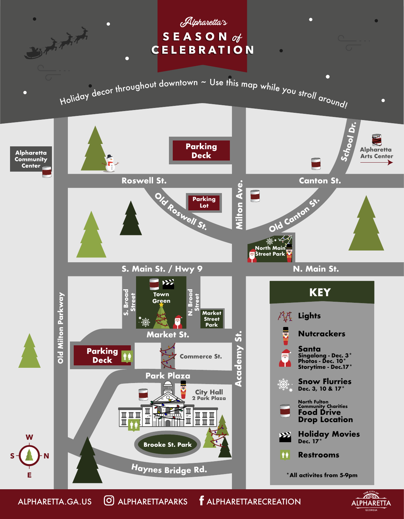